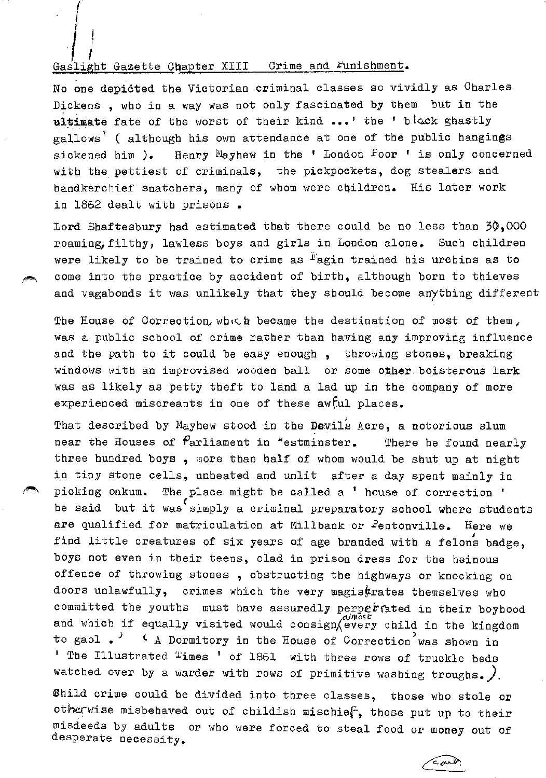## Gaslight Gazette Chapter XIII Crime and Funishment.

 $\int$ i

No one depicted the Victorian criminal classes so vividly as Charles Dickens , who in a way was not only fascinated by them but in the ultimate fate of the worst of their kind ...' the 'block ghastly gallows' ( although his own attendance at one of the public hangings sickened him ). Henry Mayhew in the ' London Poor ' is only concerned with the pettiest of criminals, the pickpockets, dog stealers and handkerchief snatchers, many of whom were children. His later work in 1862 dealt with prisons.

Lord Shaftesbury had estimated that there could be no less than  $30,000$ roaming, filthy, lawless boys and girls in London alone. Such children were likely to be trained to crime as  $F$ agin trained his urchins as to come into the practice by accident of birth, although born to thieves and vagabonds it was unlikely that they should become anything different

The House of Correction, which became the destination of most of them, was a public school of crime rather than having any improving influence and the path to it could be easy enough, throwing stones, breaking windows with an improvised wooden ball or some other boisterous lark was as likely as petty theft to land a lad up in the company of more experienced miscreants in one of these awful places.

That described by Mayhew stood in the Devils Acre, a notorious slum near the Houses of  $P$ arliament in "estminster. There he found nearly three hundred boys , more than half of whom would be shut up at night in tiny stone cells, unheated and unlit after a day spent mainly in picking oakum. The place might be called a ' house of correction ' he said but it was simply a criminal preparatory school where students are qualified for matriculation at Millbank or Eentonville. Here we find little creatures of six years of age branded with a felons badge, boys not even in their teens, clad in prison dress for the heinous offence of throwing stones , obstructing the highways or knocking on doors unlawfully, crimes which the very magis $\frac{t}{r}$ rates themselves who committed the youths must have assuredly perperated in their boyhood and which if equally visited would consign every child in the kingdom to gaol  $\Box$   $\Box$   $\Diamond$  A Dormitory in the House of Correction was shown in ' The Illustrated "imes ' of 1861 with three rows of truckle beds watched over by a warder with rows of primitive washing troughs.  $\int$ .

Bhild crime could be divided into three classes, those who stole or otherwise misbehaved out of childish mischief, those put up to their misdeeds by adults or who were forced to steal food or money out of desperate necessity.

 $\epsilon$ ond.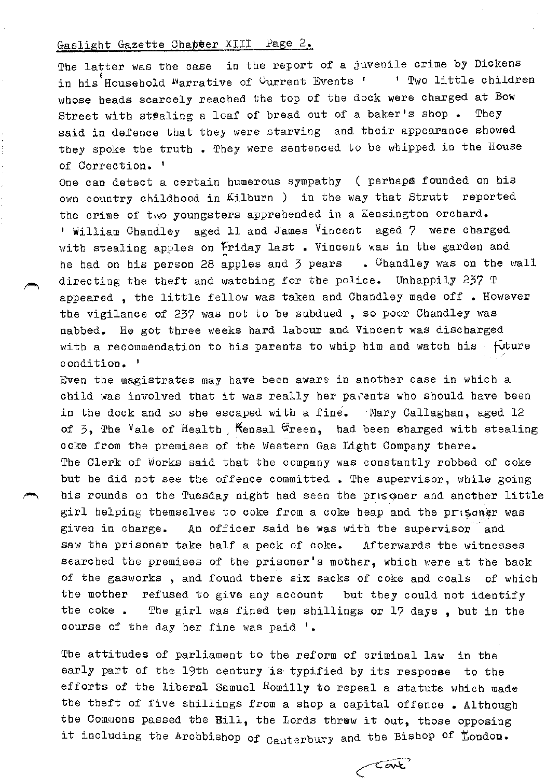The latter was the case in the report of a juvenile crime by Dickens in his Household <sup>n</sup>arrative of <sup>C</sup>urrent Events ' 1 Two little children whose beads scarcely reached the top of the dock were charged at Bow Street with st@aling a loaf of bread out of a baker's shop. They said in defence that they were starving and their appearance showed they spoke the truth . They were sentenced to be whipped in the House of Correction. 1

One can detect a certain humerous sympathy ( perhaps founded on his own country childhood in Kilburn ) in the way that Strutt reported the crime of two youngsters apprehended in a Kensington orchard. ' William Ohandley aged 11 and James Vincent aged 7 were charged with stealing apples on Friday last. Vincent was in the garden and he bad on his person 28 apples and 3 pears  $\cdot$  Chandley was on the wall directing the theft and watching for the police. Unhappily 237 T appeared, the little fellow was taken and Chandley made off. However the vigilance of 237 was not to be subdued, so poor Chandley was nabbed. He got three weeks hard labour and Vincent was discharged with a recommendation to his parents to whip him and watch his  $-$  future condition.<sup>1</sup>

Even the magistrates may have been aware in another case in which a child was involved that it was really her parents who should have been in the dock and so she escaped with a fine. Mary Callaghan, aged  $12$ of  $\overline{5}$ , The Vale of Health , Kensal Green, had been sharged with stealing coke from the premises of the Western Gas Light Company there. The Clerk of Works said that the company was constantly robbed of coke but he did not see the offence committed. The supervisor, while going his rounds on the Tuesday night had seen the prisoner and another little girl helping themselves to coke from a coke heap and the prisoner was given in charge. An officer said he was with the supervisor and saw the prisoner take half a peck of coke. Afterwards the witnesses searched the premises of the prisoner's mother, which were at the back of the gasworks , and found there six sacks of coke and coals of which the mother refused to give any account but they could not identify the coke • The girl was fined ten shillings or 17 days , but in the course of the day her fine was paid '•

The attitudes of parliament to the reform of criminal law in the early part of the 19th century is typified by its response to the efforts of the liberal Samuel Romilly to repeal a statute which made the theft of five shillings from a shop a capital offence • Although tbe Commons passed the Bill, the Lords threw it out, those opposing it including the Archbishop of  $_{\text{Caaterbury}}$  and the Bishop of  $\text{London}$ .

Cant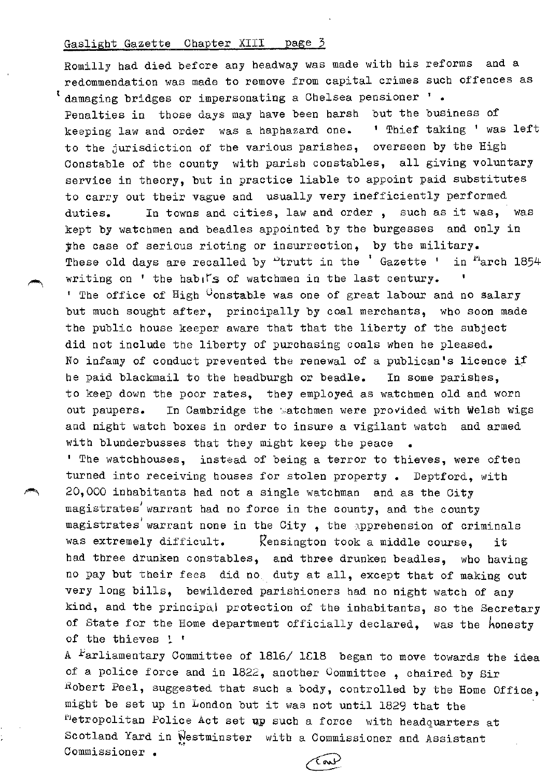Romilly bad died before any headway was made with bis reforms and a redommendation was made to remove from capital crimes such offences as t damaging bridges or impersonating a Chelsea pensioner '. Penalties in those days may have been harsh but the business of keeping law and order was a haphazard one. ' Thief taking ' was left to tbe jurisdiction of tbe various parishes, overseen by tbe High Constable of tbe county with parish constables, all giving voluntary service in theory, but in practice liable to appoint paid substitutes to carry out their vague and usually very inefficiently performed duties. In towns and cities, law and order , such as it was, was kept by watchmen and beadles appointed by tbe burgesses and only in jbe case of serious rioting or insurrection, by tbe military. These old days are recalled by  $\frac{1}{2}$ trutt in the 'Gazette ' in <sup>ri</sup>arch 1854 writing on ' the habits of watchmen in the last century. <sup>1</sup> The office of  $High$  Uonstable was one of great labour and no salary but much sought after, principally by coal merchants, who soon made the public house keeper aware that that the liberty of the subject did not include the liberty of purchasing coals when he pleased. No infamy of conduct prevented the renewal of a publican's licence if he paid blackmail to the headburgh or beadle. In some parishes, to keep down tbe poor rates, they employed as watchmen old and worn out paupers. In Cambridge the watchmen were provided with Welsh wigs and night watch boxes in order to insure a vigilant watch and armed with blunderbusses that they might keep the peace <sup>1</sup> The watchhouses, instead of being a terror to thieves, were often

turned into receiving houses for stolen property. Deptford, with 20,000 inhabitants bad not a single watchman and as the City magistrates' warrant had no force in the county, and the county magistrates warrant none in the City, the apprehension of criminals was extremely difficult. Kensington took a middle course, it bad three drunken constables, and three drunken beadles, wbo having no pay but their fees did no\_ duty at all, except that of making out very long bills, bewildered parishioners bad no night watch of any kind, and the principal protection of the inhabitants, so the Secretary of State for the Home department officially declared, was the honesty of the thieves  $!$  '

A  $F$ arliamentary Committee of 1816/1818 began to move towards the idea of a police force and in 1822, another Committee , chaired by Sir Robert Peel, suggested that such a body, controlled by the Home Office, might be set up in London but it was not until 1829 that the Metropolitan Police Act set up such a force with headquarters at Scotland Yard in Westminster with a Commissioner and Assistant Commissioner •

Tour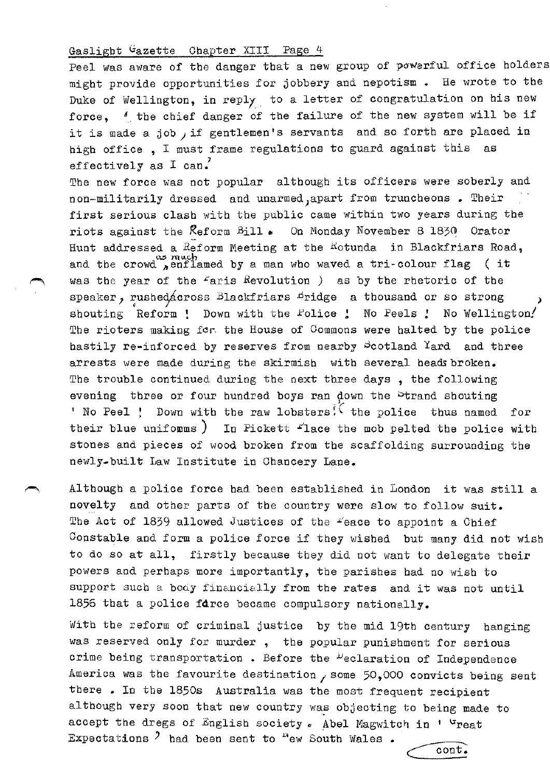Peel was aware of the danger that a new group of powerful office holders might provide opportunities for jobbery and nepotism • He wrote to the Duke of Wellington, in reply to a letter of congratulation on his new force.  $\ell$  the chief danger of the failure of the new system will be if it is made a job , if gentlemen's servants and so forth are placed in high office , I must frame regulations to guard against this as effectively as  $I can$ .

The new force was not popular although its officers were soberly and non-militarily dressed and unarmed;apart from truncheons • Their first serious clash with the public came within two years during the riots against the Reform Bill . On Monday November 8 1830 Orator ·- Hunt addressed a Reform Meeting at the Hotunda in Blackfriars Road, and the crowd  $\sum_{n=0}^{\infty}$  much by a man who waved a tri-colour flag (it was the year of the £aris Revolution *)* as by the rhetoric of the speaker, rushed across Blackfriars Bridge a thousand or so strong shouting Reform ! Down with the Folice ! No Peels ! No Wellington! The rioters making for the House of Commons were halted by the police hastily re-inforced by reserves from nearby Scotland Yard and three arrests were made during the skirmish with several heads broken. The trouble continued during the next three days, the following evening three or four hundred boys ran down the <sup>p</sup>trand shouting 'No Peel ! Down with the raw lobsters<sup>?</sup> the police thus named for their blue uniforms  $\big)$  In Pickett  $f$ lace the mob pelted the police with stones and pieces of wood broken from the scaffolding surrounding the newly-built Law Institute in Chancery Lane.

Although a police force bad been established in London it was still a novelty and other parts of the country were slow to follow suit. The Act of 1839 allowed Justices of the "eace to appoint a Chief Constable and form a police force if they wished but many did not wisb to do so at all, firstly because they did not want to delegate their powers and perhaps more importantly, the parishes had no wish to support such a body financially from the rates and it was not until 1856 that a police force became compulsory nationally.

With the reform of criminal justice by the mid 19th century banging was reserved only for murder , the popular punishment for serious crime being transportation. Before the <sup>D</sup>eclaration of Independence America was the favourite destination  $/$  some 50,000 convicts being sent there • In the 1850s Australia was the most frequent recipient although very soon that new country was objecting to being made to accept the dregs of English society. Abel Magwitch in ' <sup>u</sup>reat Expectations <sup>2</sup> had been sent to "ew South Wales. <u>cont.</u> Expectations  $\lambda$  had been sent to  $\lambda$  ew South Wales .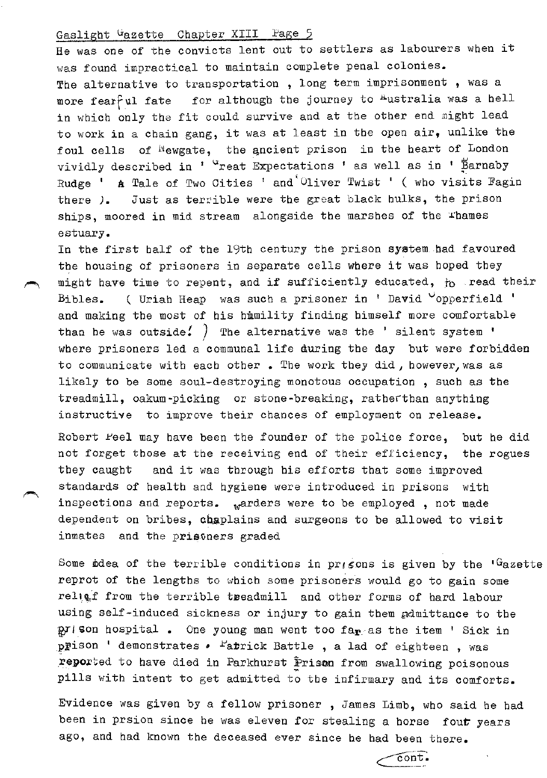He was one of the convicts lent out to settlers as labourers when it was found impractical to maintain complete penal colonies. The alternative to transportation, long term imprisonment, was a more fearful fate for although the journey to Australia was a hell in which only the fit could survive and at the other end might lead to work in a chain gang, it was at least in the open air, unlike the foul cells of Wewgate, the ancient prison in the heart of London vividly described in ' <sup>u</sup>reat Expectations ' as well as in ' Barnaby Rudge ' A Tale of Two Cities ' and 'Oliver Twist ' ( who visits Fagin there *).* Just as terrible were the great black hulks, the prison ships, moored in mid stream alongside the marshes of the Thames estuary.

In the first half of the 19th century the prison system had favoured the housing of prisoners in separate cells where it was hoped they might have time to repent, and if sufficiently educated, to read their Bibles. ( Uriah Heap was such a prisoner in ' David  $\circ$ opperfield ' and making the most of his hmmility finding himself more comfortable than he was outside. <sup>7</sup> The alternative was the ' silent system ' where prisoners led a communal life during the day but were forbidden to communicate with each other. The work they did, however, was as likely to be some soul-destroying monotous occupation , such as the treadmill, oakum-picking or stone-breaking, ratherthan anything instructive to improve their chances of employment on release.

Robert Feel may have been the founder of the police force, but he did not forget those at the receiving end of their efficiency, the rogues they caught and it was through his efforts that some improved standards of health and hygiene were introduced in prisons with inspections and reports. warders were to be employed, not made dependent on bribes, chaplains and surgeons to be allowed to visit inmates and the prisoners graded

Some idea of the terrible conditions in prisons is given by the  ${}^{1}$ Gazette reprot of the lengths to which some prisoners would go to gain some religf from the terrible treadmill and other forms of hard labour using self-induced sickness or injury to gain them admittance to the  $p$ I'son hospital. One young man went too far as the item ' Sick in prison ' demonstrates  $\bullet$   $\overline{\phantom{a}}$   $\bullet$   $\overline{\phantom{a}}$  attle , a lad of eighteen , was reported to have died in Parkhurst Prison from swallowing poisonous pills with intent to get admitted to the infirmary and its comforts.

Evidence was given by a fellow prisoner , James Limb, who said he had been in prsion since he was eleven for stealing a horse fout years ago, and had known the deceased ever since he had been there.

 $\cot$ .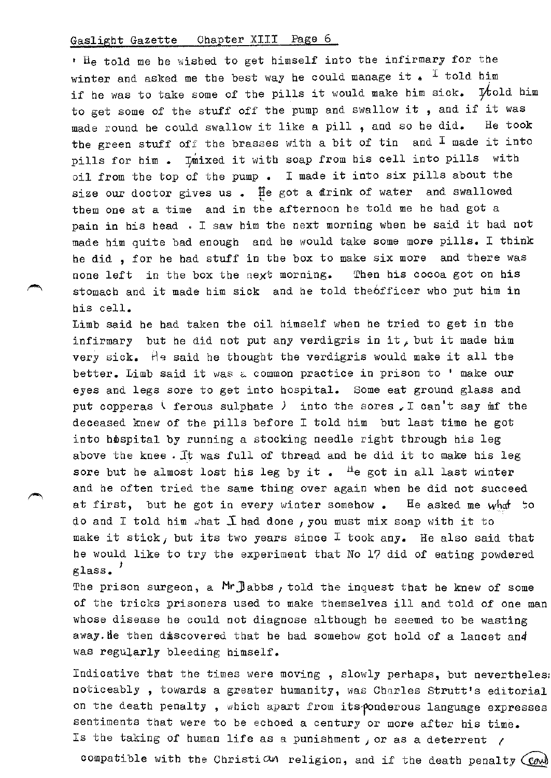• He told me he wished to get himself into the infirmary for the winter and asked me the best way he could manage it.  $I$  told him if he was to take some of the pills it would make him sick.  $\mathcal{H}$ old him to get some of the stuff off the pump and swallow it , and if it was made round be could swallow it like a pill , and so he did. He took the green stuff off the brasses with a bit of tin and  $I$  made it into pills for him. Imixed it with soap from his cell into pills with oil from the top of the pump • I made it into six pills about the size our doctor gives us . He got a drink of water and swallowed them one at a time and in the afternoon he told me he had got a pain in his head . I saw him the next morning when be said it had not made him quite bad enough and be would take some more pills. I think be did , for he bad stuff in the box to make six more and there was none left in the box the next morning. Then his cocoa got on his stomach and it made him sick and be told the6fficer who put him in his cell.

Limb said be bad taken the oil himself when be tried to get in the infirmary but he did not put any verdigris in it, but it made him very sick. He said he thought the verdigris would make it all the better. Limb said it was a common practice in prison to ' make our eyes and legs sore to get into hospital. Some eat ground glass and put copperas ( ferous sulphate ) into the sores I can't say mf the deceased knew of the pills before I told him but last time be got into hospital by running a stocking needle right through his leg above the knee. It was full of thread and he did it to make his leg sore but he almost lost his leg by it.  $\frac{H}{c}$  got in all last winter and be often tried the same thing over again when be did not succeed at first, but he got in every winter somehow. He asked me what to do and I told him what  $I$  had done, you must mix soap with it to make it stick, but its two years since  $I$  took any. He also said that he would like to try the experiment that No 17 did of eating powdered glass.'

The prison surgeon, a Mr Jabbs, told the inquest that he knew of some of the tricks prisoners used to make themselves ill and told of one man whose disease he could not diagnose although be seemed to be wasting away. He then discovered that he had somehow got hold of a lancet and was regularly bleeding himself.

Indicative that the times were moving , slowly perhaps, but nevertheles: noticeably , towards a greater humanity, was Charles Strutt's editorial on the death penalty, which apart from its-ponderous language expresses sentiments that were to be echoed a century or more after his time. Is the taking of human life as a punishment, or as a deterrent  $\gamma$ 

compatible with the Christic on religion, and if the death penalty  ${Cov}$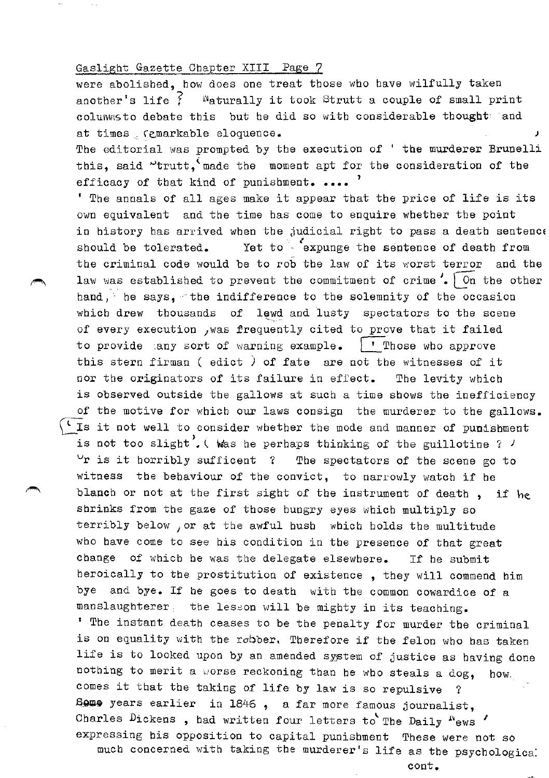were abolished, how does one treat those who have wilfully taken another's life  $\tilde{f}$  = <sup>N</sup>aturally it took Strutt a couple of small print columnsto debate this but he did so with considerable thought and at times . (cmarkable eloquence. The editorial was prompted by the execution of ' the murderer Brunelli

this, said "trutt, made the moment apt for the consideration of the efficacy of that kind of punishment.  $\ldots$ 

' The annals of all ages make it appear that the price of life is its own equivalent and the time has come to enquire whether the point in history has arrived when the judicial right to pass a death sentenc  $\frac{u}{\ell}$ should be tolerated. Yet to expunge the sentence of death from the criminal code would be to rob the law of its worst terror and the law was established to prevent the commitment of crime  $\sqrt{\ }$  On the other hand,' he says, ~the indifference to the solemnity of the occasion which drew thousands of lewd and lusty spectators to the scene of every execution , was frequently cited to prove that it failed to provide any sort of warning example.  $\Box$  Those who approve this stern firman ( edict ) of fate are not the witnesses of it nor the originators of its failure in effect. The levity which is observed outside the gallows at such a time shows the inefficiency of the motive for which our laws consign the murderer to the gallows. " Is it not well to consider whether the mode and manner of punishment is not too slight<sup>'</sup>. (Was he perhaps thinking of the guillotine ?  $\prime$  $\vee$ r is it horribly sufficent ? The spectators of the scene go to witness the behaviour of the convict, to narrowly watch if he blanch or not at the first sight of the instrument of death . if he shrinks from the gaze of those hungry eyes which multiply so terribly below , or at the awful hush which holds the multitude who have come to see his condition in the presence of that great change of which be was the delegate elsewhere. If be submit heroically to the prostitution of existence , they will commend him bye and bye. If be goes to death with the common cowardice of a manslaughterer the lesson will be mighty in its teaching. ' The instant death ceases to be the penalty for murder the criminal is on equality with the robber. Therefore if the felon who has taken life is to looked upon by an amended system of justice as having done nothing to merit a worse reckoning than he who steals a dog, how. comes it that the taking of life by law is so repulsive Some years earlier in 1846, a far more famous journalist, Charles Dickens, bad written four letters to The Daily  $"ews'$ expressing his opposition to capital punishment These were not so much concerned with taking the murderer's life as the psychologica:

cont.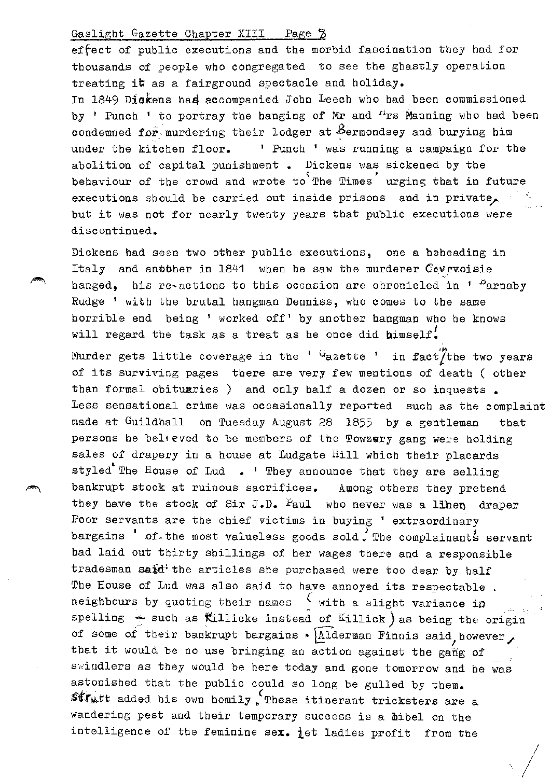effect of public executions and the morbid fascination they had for thousands of people who congregated to see the ghastly operation treating it as a fairground spectacle and holiday. In 1849 Diekens had accompanied John Leech who had been commissioned by ' Punch ' to portray the hanging of Mr and  $\mu$ rs Manning who had been condemned for, murdering their lodger at  $B$ ermondsey and burying him under the kitchen floor. ' Punch ' was running a campaign for the abolition of capital punishment. Dickens was sickened by the behaviour of the crowd and wrote to The Times urging that in future executions should be carried out inside prisons and in private. but it was not for nearly twenty years that public executions were discontinued.

Dickens had seen two other public executions, one a beheading in Italy and another in 1841 when he saw the murderer Covruoisie hanged, his re-actions to this occasion are chronicled in '  $P_{\text{arnaby}}$ Rudge ' with the brutal hangman Denniss, who comes to the same horrible end being ' worked off' by another hangman who be knows will regard the task as a treat as he once did himself.

Murder gets little coverage in the  $1/2$  dazette  $1/2$  in fact  $\frac{1}{2}$  the two years of its surviving pages there are very few mentions of death ( other than formal obituaries ) and only half a dozen or so inquests. Less sensational crime was occasionally reported such as the complaint made at Guildhall on Tuesday August 28 1855 by a gentleman that persons he believed to be members of the Towzery gang were holding sales of drapery in a house at Ludgate Hill which their placards styled The House of Lud . ' They announce that they are selling bankrupt stock at ruinous sacrifices. Among others they pretend they have the stock of Sir J.D. Faul who never was a lihen draper Poor servants are the chief victims in buying ' extraordinary bargains  $'$  of the most valueless goods sold, The complainants servant had laid out thirty shillings of her wages there and a responsible tradesman said<sup>;</sup> the articles she purchased were too dear by half The House of Lud was also said to have annoyed its respectable . *(.*  neighbours by quoting their names  $\frac{1}{2}$  with a slight variance in spelling  $\div$  such as Killicke instead of Killick) as being the origin of some of their bankrupt bargains •  $\sqrt{\frac{1}{2}}$ derman Finnis said, however, that it would be no use bringing an action against the gang of swindlers as they would be here today and gone tomorrow and he was astonished that the public could so long be gulled by them.  $\mathsf{sff}_\mathsf{W}$ tt added his own homily  $\mathsf{f}_\mathsf{u}$ These itinerant tricksters are a wandering pest and their temporary success is a *hibel* on the intelligence of the feminine sex.  $\frac{1}{1}$ et ladies profit from the  $\sqrt{2}$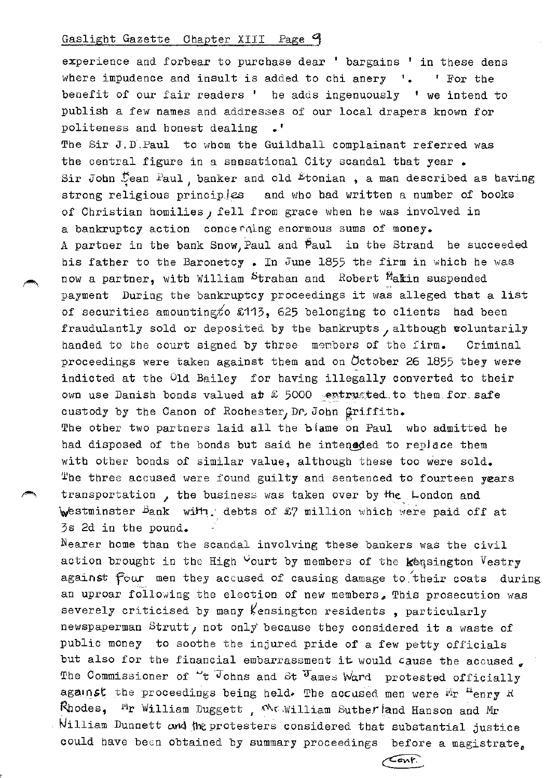experience and forbear to purchase dear ' bargains ' in these dens where impudence and insult is added to chi anery  $\cdot$   $\cdot$   $\cdot$  For the benefit of our fair readers ' he adds ingenuously ' we intend to publish a few names and addresses of our local drapers known for politeness and honest dealing .'

The Sir J.D . Paul to whom the Guildhall complainant referred was the central figure in a seesational City scandal that year. Sir John  $\frac{1}{2}$ ean Paul, banker and old Etonian, a man described as having strong religious principles and who had written a number of books of Christian homilies) fell from grace when he was involved in a bankruptcy action concerning enormous sums of money. A partner in the bank Snow,Paul and Paul in the Strand be succeeded bis father to the Baronetcy. In June 1855 the firm in which he was now a partner, with William Strahan and Robert Makin suspended payment During the bankruptcy proceedings it was alleged that a list of securities amounting to  $£113$ , 625 belonging to clients had been fraudulantly sold or deposited by the bankrupts, although woluntarily handed to the court signed by three members of the firm. Criminal proceedings were taken against them and on  $\sigma$  otober 26 1855 they were indicted at the Old Bailey for having illegally converted to their own use Danish bonds valued at  $E$  5000  $\cdot$  entrusted to them for safe custody by the Canon of Rochester, Dr. John Griffith. The other two partners laid all the biame on Paul who admitted be had disposed of the bonds but said he inteneded to replace them with other bonds of similar value, although these too were sold. The three accused were found guilty and sentenced to fourteen years transportation, the business was taken over by the London and westminster Bank with; debts of £7 million which were paid off at

3s 2d in the pound.

Nearer home than the scandal involving these bankers was the civil action brought in the High  $\vee$ ourt by members of the kensington Vestry against four men they accused of causing damage to their coats during an uproar following the election of new members. This prosecution was severely criticised by many Kensington residents, particularly newspaperman Strutt, not only because they considered it a waste of public money to soothe the injured pride of a few petty officials but also for the financial embarrassment it would cause the accused. The Commissioner of  $\sim$ t Johns and St  $\sigma$ ames Ward protested officially against the proceedings being held. The accused men were  $^{\text{M}}\text{r}$   $^{\text{H}}$ enry R Rhodes, <sup>Fi</sup>r William Duggett, We William Suther and Hanson and Mr William Dunnett and the protesters considered that substantial justice could have been obtained by summary proceedings before a magistrate.